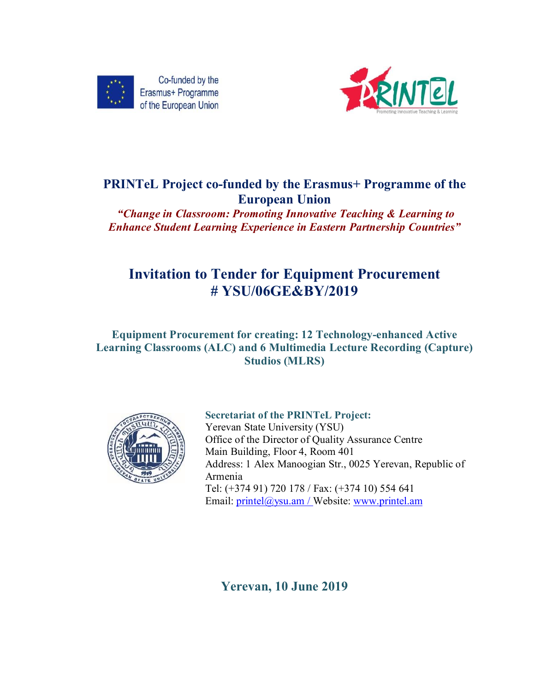



# **PRINTeL Project co-funded by the Erasmus+ Programme of the European Union**

*"Change in Classroom: Promoting Innovative Teaching & Learning to Enhance Student Learning Experience in Eastern Partnership Countries"*

# **Invitation to Tender for Equipment Procurement # YSU/06GE&BY/2019**

## **Equipment Procurement for creating: 12 Technology-enhanced Active Learning Classrooms (ALC) and 6 Multimedia Lecture Recording (Capture) Studios (MLRS)**



**Secretariat of the PRINTeL Project:** Yerevan State University (YSU) Office of the Director of Quality Assurance Centre Main Building, Floor 4, Room 401 Address: 1 Alex Manoogian Str., 0025 Yerevan, Republic of Armenia Tel: (+374 91) 720 178 / Fax: (+374 10) 554 641 Email: printel@ysu.am / Website: www.printel.am

**Yerevan, 10 June 2019**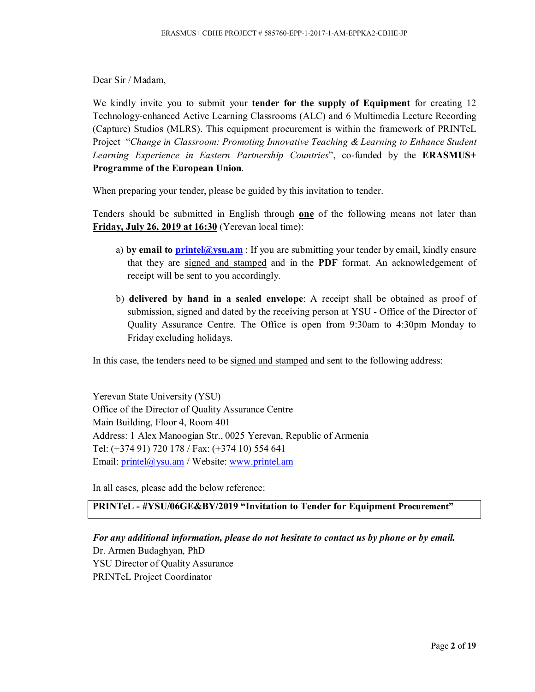Dear Sir / Madam,

We kindly invite you to submit your **tender for the supply of Equipment** for creating 12 Technology-enhanced Active Learning Classrooms (ALC) and 6 Multimedia Lecture Recording (Capture) Studios (MLRS). This equipment procurement is within the framework of PRINTeL Project "*Change in Classroom: Promoting Innovative Teaching & Learning to Enhance Student Learning Experience in Eastern Partnership Countries*", co-funded by the **ERASMUS+ Programme of the European Union**.

When preparing your tender, please be guided by this invitation to tender.

Tenders should be submitted in English through **one** of the following means not later than **Friday, July 26, 2019 at 16:30** (Yerevan local time):

- a) by email to **printel@ysu.am** : If you are submitting your tender by email, kindly ensure that they are signed and stamped and in the **PDF** format. An acknowledgement of receipt will be sent to you accordingly.
- b) **delivered by hand in a sealed envelope**: A receipt shall be obtained as proof of submission, signed and dated by the receiving person at YSU - Office of the Director of Quality Assurance Centre. The Office is open from 9:30am to 4:30pm Monday to Friday excluding holidays.

In this case, the tenders need to be signed and stamped and sent to the following address:

Yerevan State University (YSU) Office of the Director of Quality Assurance Centre Main Building, Floor 4, Room 401 Address: 1 Alex Manoogian Str., 0025 Yerevan, Republic of Armenia Tel: (+374 91) 720 178 / Fax: (+374 10) 554 641 Email: printel@ysu.am / Website: www.printel.am

In all cases, please add the below reference:

## **PRINTeL - #YSU/06GE&BY/2019 "Invitation to Tender for Equipment Procurement"**

*For any additional information, please do not hesitate to contact us by phone or by email.* Dr. Armen Budaghyan, PhD YSU Director of Quality Assurance PRINTeL Project Coordinator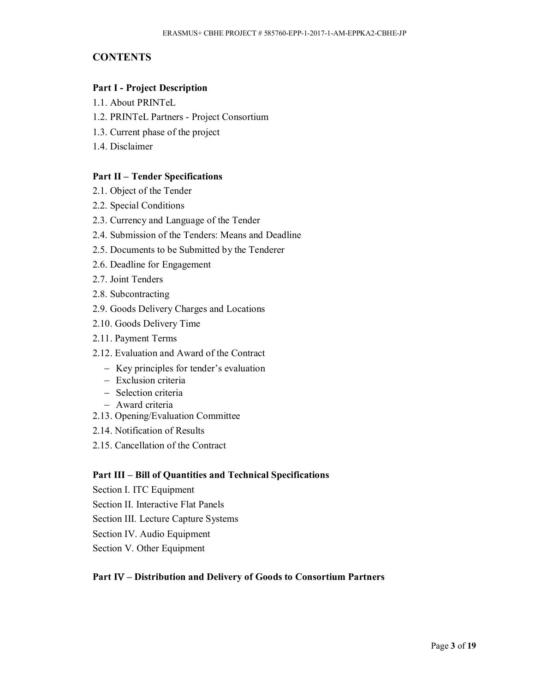## **CONTENTS**

#### **Part I - Project Description**

- 1.1. About PRINTeL
- 1.2. PRINTeL Partners Project Consortium
- 1.3. Current phase of the project
- 1.4. Disclaimer

#### **Part II – Tender Specifications**

- 2.1. Object of the Tender
- 2.2. Special Conditions
- 2.3. Currency and Language of the Tender
- 2.4. Submission of the Tenders: Means and Deadline
- 2.5. Documents to be Submitted by the Tenderer
- 2.6. Deadline for Engagement
- 2.7. Joint Tenders
- 2.8. Subcontracting
- 2.9. Goods Delivery Charges and Locations
- 2.10. Goods Delivery Time
- 2.11. Payment Terms
- 2.12. Evaluation and Award of the Contract
	- Key principles for tender's evaluation
	- Exclusion criteria
	- Selection criteria
	- Award criteria
- 2.13. Opening/Evaluation Committee
- 2.14. Notification of Results
- 2.15. Cancellation of the Contract

#### **Part III – Bill of Quantities and Technical Specifications**

- Section I. ITC Equipment
- Section II. Interactive Flat Panels
- Section III. Lecture Capture Systems
- Section IV. Audio Equipment
- Section V. Other Equipment

#### **Part IV – Distribution and Delivery of Goods to Consortium Partners**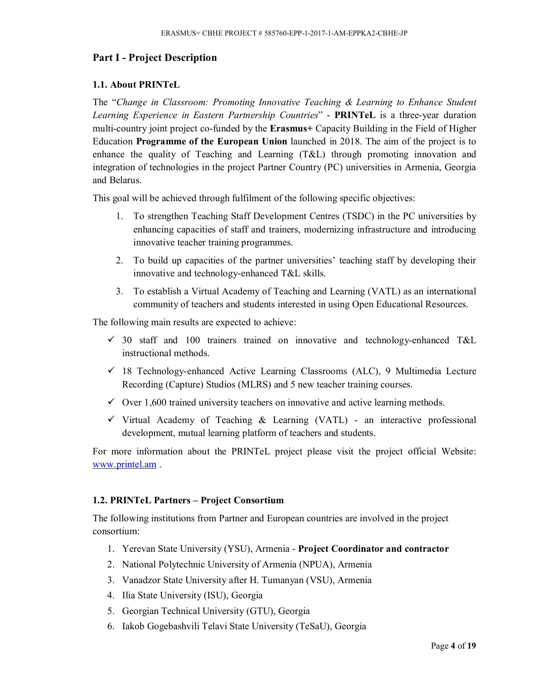## **Part I - Project Description**

#### **1.1. About PRINTeL**

The "*Change in Classroom: Promoting Innovative Teaching & Learning to Enhance Student Learning Experience in Eastern Partnership Countries*" - **PRINTeL** is a three-year duration multi-country joint project co-funded by the **Erasmus+** Capacity Building in the Field of Higher Education **Programme of the European Union** launched in 2018. The aim of the project is to enhance the quality of Teaching and Learning (T&L) through promoting innovation and integration of technologies in the project Partner Country (PC) universities in Armenia, Georgia and Belarus.

This goal will be achieved through fulfilment of the following specific objectives:

- 1. To strengthen Teaching Staff Development Centres (TSDC) in the PC universities by enhancing capacities of staff and trainers, modernizing infrastructure and introducing innovative teacher training programmes.
- 2. To build up capacities of the partner universities' teaching staff by developing their innovative and technology-enhanced T&L skills.
- 3. To establish a Virtual Academy of Teaching and Learning (VATL) as an international community of teachers and students interested in using Open Educational Resources.

The following main results are expected to achieve:

- $\checkmark$  30 staff and 100 trainers trained on innovative and technology-enhanced T&L instructional methods.
- $\checkmark$  18 Technology-enhanced Active Learning Classrooms (ALC), 9 Multimedia Lecture Recording (Capture) Studios (MLRS) and 5 new teacher training courses.
- $\checkmark$  Over 1,600 trained university teachers on innovative and active learning methods.
- $\checkmark$  Virtual Academy of Teaching & Learning (VATL) an interactive professional development, mutual learning platform of teachers and students.

For more information about the PRINTeL project please visit the project official Website: www.printel.am .

#### **1.2. PRINTeL Partners – Project Consortium**

The following institutions from Partner and European countries are involved in the project consortium:

- 1. Yerevan State University (YSU), Armenia **Project Coordinator and contractor**
- 2. National Polytechnic University of Armenia (NPUA), Armenia
- 3. Vanadzor State University after H. Tumanyan (VSU), Armenia
- 4. Ilia State University (ISU), Georgia
- 5. Georgian Technical University (GTU), Georgia
- 6. Iakob Gogebashvili Telavi State University (TeSaU), Georgia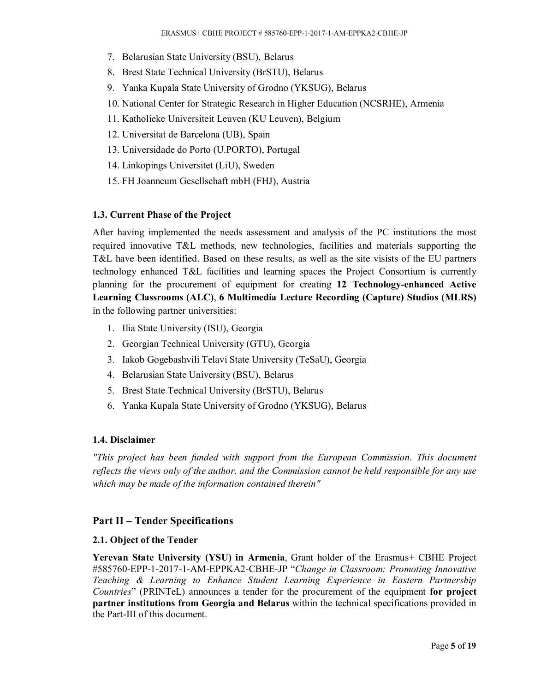- 7. Belarusian State University (BSU), Belarus
- 8. Brest State Technical University (BrSTU), Belarus
- 9. Yanka Kupala State University of Grodno (YKSUG), Belarus
- 10. National Center for Strategic Research in Higher Education (NCSRHE), Armenia
- 11. Katholieke Universiteit Leuven (KU Leuven), Belgium
- 12. Universitat de Barcelona (UB), Spain
- 13. Universidade do Porto (U.PORTO), Portugal
- 14. Linkopings Universitet (LiU), Sweden
- 15. FH Joanneum Gesellschaft mbH (FHJ), Austria

## **1.3. Current Phase of the Project**

After having implemented the needs assessment and analysis of the PC institutions the most required innovative T&L methods, new technologies, facilities and materials supporting the T&L have been identified. Based on these results, as well as the site visists of the EU partners technology enhanced T&L facilities and learning spaces the Project Consortium is currently planning for the procurement of equipment for creating **12 Technology-enhanced Active Learning Classrooms (ALC)**, **6 Multimedia Lecture Recording (Capture) Studios (MLRS)**  in the following partner universities:

- 1. Ilia State University (ISU), Georgia
- 2. Georgian Technical University (GTU), Georgia
- 3. Iakob Gogebashvili Telavi State University (TeSaU), Georgia
- 4. Belarusian State University (BSU), Belarus
- 5. Brest State Technical University (BrSTU), Belarus
- 6. Yanka Kupala State University of Grodno (YKSUG), Belarus

#### **1.4. Disclaimer**

*"This project has been funded with support from the European Commission. This document reflects the views only of the author, and the Commission cannot be held responsible for any use which may be made of the information contained therein"*

## **Part II – Tender Specifications**

#### **2.1. Object of the Tender**

**Yerevan State University (YSU) in Armenia**, Grant holder of the Erasmus+ CBHE Project #585760-EPP-1-2017-1-AM-EPPKA2-CBHE-JP "*Change in Classroom: Promoting Innovative Teaching & Learning to Enhance Student Learning Experience in Eastern Partnership Countries*" (PRINTeL) announces a tender for the procurement of the equipment **for project partner institutions from Georgia and Belarus** within the technical specifications provided in the Part-III of this document.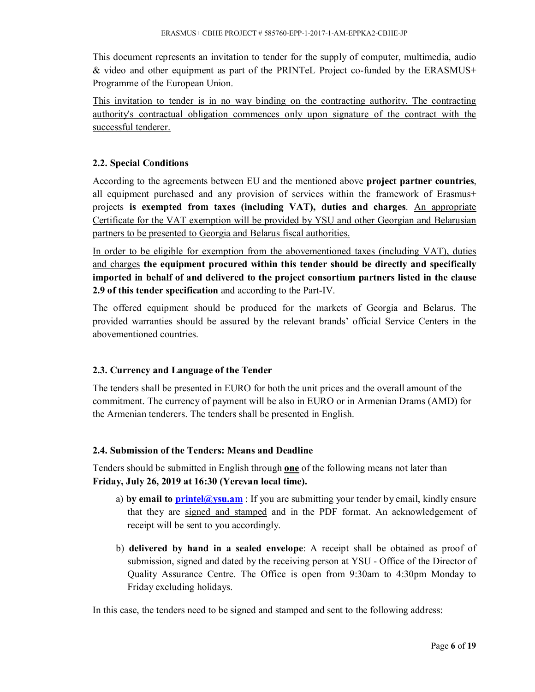This document represents an invitation to tender for the supply of computer, multimedia, audio & video and other equipment as part of the PRINTeL Project co-funded by the ERASMUS+ Programme of the European Union.

This invitation to tender is in no way binding on the contracting authority. The contracting authority's contractual obligation commences only upon signature of the contract with the successful tenderer.

## **2.2. Special Conditions**

According to the agreements between EU and the mentioned above **project partner countries**, all equipment purchased and any provision of services within the framework of Erasmus+ projects **is exempted from taxes (including VAT), duties and charges**. An appropriate Certificate for the VAT exemption will be provided by YSU and other Georgian and Belarusian partners to be presented to Georgia and Belarus fiscal authorities.

In order to be eligible for exemption from the abovementioned taxes (including VAT), duties and charges **the equipment procured within this tender should be directly and specifically imported in behalf of and delivered to the project consortium partners listed in the clause 2.9 of this tender specification** and according to the Part-IV.

The offered equipment should be produced for the markets of Georgia and Belarus. The provided warranties should be assured by the relevant brands' official Service Centers in the abovementioned countries.

## **2.3. Currency and Language of the Tender**

The tenders shall be presented in EURO for both the unit prices and the overall amount of the commitment. The currency of payment will be also in EURO or in Armenian Drams (AMD) for the Armenian tenderers. The tenders shall be presented in English.

## **2.4. Submission of the Tenders: Means and Deadline**

Tenders should be submitted in English through **one** of the following means not later than **Friday, July 26, 2019 at 16:30 (Yerevan local time).**

- a) **by email to printel@ysu.am** : If you are submitting your tender by email, kindly ensure that they are signed and stamped and in the PDF format. An acknowledgement of receipt will be sent to you accordingly.
- b) **delivered by hand in a sealed envelope**: A receipt shall be obtained as proof of submission, signed and dated by the receiving person at YSU - Office of the Director of Quality Assurance Centre. The Office is open from 9:30am to 4:30pm Monday to Friday excluding holidays.

In this case, the tenders need to be signed and stamped and sent to the following address: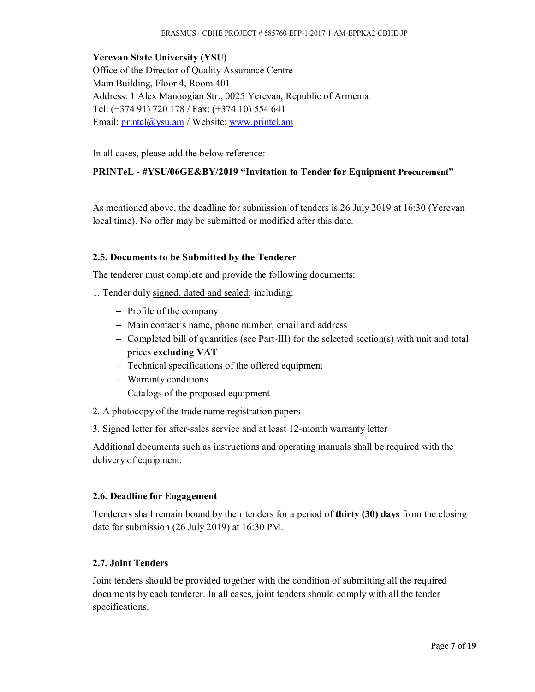**Yerevan State University (YSU)** Office of the Director of Quality Assurance Centre Main Building, Floor 4, Room 401 Address: 1 Alex Manoogian Str., 0025 Yerevan, Republic of Armenia Tel: (+374 91) 720 178 / Fax: (+374 10) 554 641 Email: printel@ysu.am / Website: www.printel.am

In all cases, please add the below reference:

## **PRINTeL - #YSU/06GE&BY/2019 "Invitation to Tender for Equipment Procurement"**

As mentioned above, the deadline for submission of tenders is 26 July 2019 at 16:30 (Yerevan local time). No offer may be submitted or modified after this date.

## **2.5. Documents to be Submitted by the Tenderer**

The tenderer must complete and provide the following documents:

- 1. Tender duly signed, dated and sealed; including:
	- Profile of the company
	- Main contact's name, phone number, email and address
	- $\sim$  Completed bill of quantities (see Part-III) for the selected section(s) with unit and total prices **excluding VAT**
	- Technical specifications of the offered equipment
	- Warranty conditions
	- Catalogs of the proposed equipment
- 2. A photocopy of the trade name registration papers
- 3. Signed letter for after-sales service and at least 12-month warranty letter

Additional documents such as instructions and operating manuals shall be required with the delivery of equipment.

#### **2.6. Deadline for Engagement**

Tenderers shall remain bound by their tenders for a period of **thirty (30) days** from the closing date for submission (26 July 2019) at 16:30 PM.

#### **2.7. Joint Tenders**

Joint tenders should be provided together with the condition of submitting all the required documents by each tenderer. In all cases, joint tenders should comply with all the tender specifications.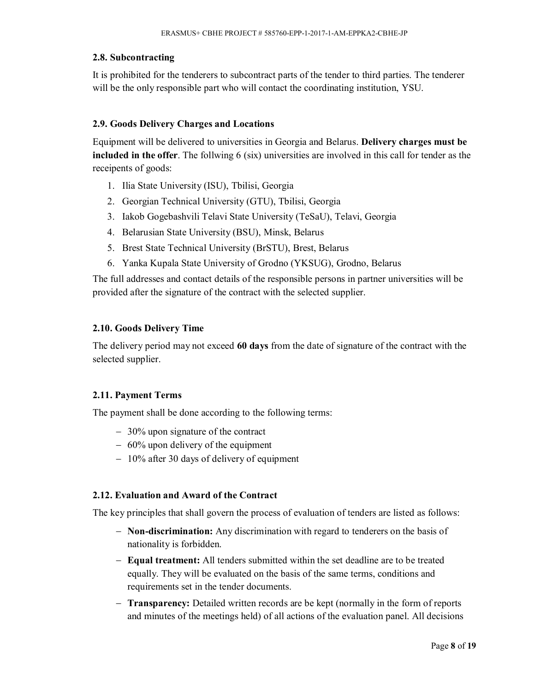## **2.8. Subcontracting**

It is prohibited for the tenderers to subcontract parts of the tender to third parties. The tenderer will be the only responsible part who will contact the coordinating institution, YSU.

## **2.9. Goods Delivery Charges and Locations**

Equipment will be delivered to universities in Georgia and Belarus. **Delivery charges must be included in the offer**. The follwing 6 (six) universities are involved in this call for tender as the receipents of goods:

- 1. Ilia State University (ISU), Tbilisi, Georgia
- 2. Georgian Technical University (GTU), Tbilisi, Georgia
- 3. Iakob Gogebashvili Telavi State University (TeSaU), Telavi, Georgia
- 4. Belarusian State University (BSU), Minsk, Belarus
- 5. Brest State Technical University (BrSTU), Brest, Belarus
- 6. Yanka Kupala State University of Grodno (YKSUG), Grodno, Belarus

The full addresses and contact details of the responsible persons in partner universities will be provided after the signature of the contract with the selected supplier.

## **2.10. Goods Delivery Time**

The delivery period may not exceed **60 days** from the date of signature of the contract with the selected supplier.

## **2.11. Payment Terms**

The payment shall be done according to the following terms:

- 30% upon signature of the contract
- $-60\%$  upon delivery of the equipment
- $-10\%$  after 30 days of delivery of equipment

#### **2.12. Evaluation and Award of the Contract**

The key principles that shall govern the process of evaluation of tenders are listed as follows:

- **Non-discrimination:** Any discrimination with regard to tenderers on the basis of nationality is forbidden.
- **Equal treatment:** All tenders submitted within the set deadline are to be treated equally. They will be evaluated on the basis of the same terms, conditions and requirements set in the tender documents.
- **Transparency:** Detailed written records are be kept (normally in the form of reports and minutes of the meetings held) of all actions of the evaluation panel. All decisions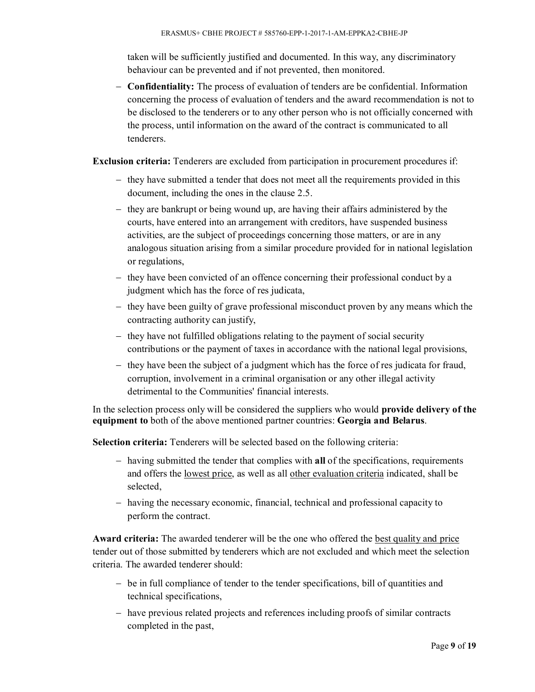taken will be sufficiently justified and documented. In this way, any discriminatory behaviour can be prevented and if not prevented, then monitored.

 **Confidentiality:** The process of evaluation of tenders are be confidential. Information concerning the process of evaluation of tenders and the award recommendation is not to be disclosed to the tenderers or to any other person who is not officially concerned with the process, until information on the award of the contract is communicated to all tenderers.

**Exclusion criteria:** Tenderers are excluded from participation in procurement procedures if:

- $-$  they have submitted a tender that does not meet all the requirements provided in this document, including the ones in the clause 2.5.
- $-$  they are bankrupt or being wound up, are having their affairs administered by the courts, have entered into an arrangement with creditors, have suspended business activities, are the subject of proceedings concerning those matters, or are in any analogous situation arising from a similar procedure provided for in national legislation or regulations,
- $-$  they have been convicted of an offence concerning their professional conduct by a judgment which has the force of res judicata,
- $-$  they have been guilty of grave professional misconduct proven by any means which the contracting authority can justify,
- they have not fulfilled obligations relating to the payment of social security contributions or the payment of taxes in accordance with the national legal provisions,
- $-$  they have been the subject of a judgment which has the force of res judicata for fraud, corruption, involvement in a criminal organisation or any other illegal activity detrimental to the Communities' financial interests.

In the selection process only will be considered the suppliers who would **provide delivery of the equipment to** both of the above mentioned partner countries: **Georgia and Belarus**.

**Selection criteria:** Tenderers will be selected based on the following criteria:

- having submitted the tender that complies with all of the specifications, requirements and offers the lowest price, as well as all other evaluation criteria indicated, shall be selected,
- having the necessary economic, financial, technical and professional capacity to perform the contract.

**Award criteria:** The awarded tenderer will be the one who offered the best quality and price tender out of those submitted by tenderers which are not excluded and which meet the selection criteria. The awarded tenderer should:

- be in full compliance of tender to the tender specifications, bill of quantities and technical specifications,
- have previous related projects and references including proofs of similar contracts completed in the past,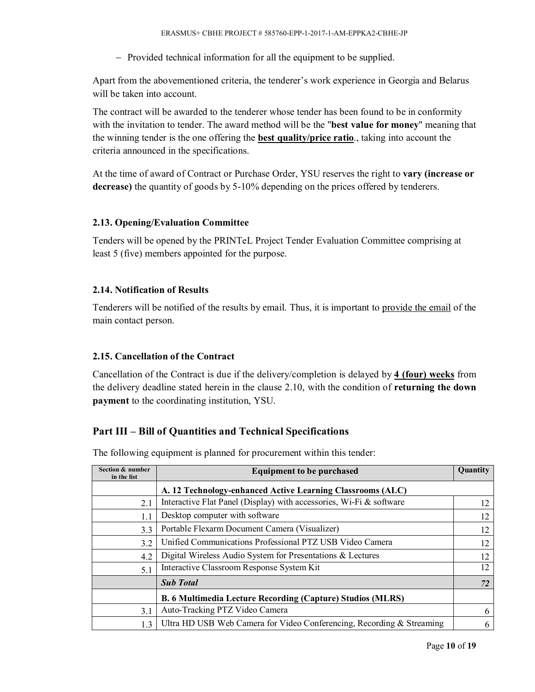- Provided technical information for all the equipment to be supplied.

Apart from the abovementioned criteria, the tenderer's work experience in Georgia and Belarus will be taken into account.

The contract will be awarded to the tenderer whose tender has been found to be in conformity with the invitation to tender. The award method will be the "**best value for money**" meaning that the winning tender is the one offering the **best quality/price ratio**., taking into account the criteria announced in the specifications.

At the time of award of Contract or Purchase Order, YSU reserves the right to **vary (increase or decrease)** the quantity of goods by 5-10% depending on the prices offered by tenderers.

## **2.13. Opening/Evaluation Committee**

Tenders will be opened by the PRINTeL Project Tender Evaluation Committee comprising at least 5 (five) members appointed for the purpose.

## **2.14. Notification of Results**

Tenderers will be notified of the results by email. Thus, it is important to provide the email of the main contact person.

## **2.15. Cancellation of the Contract**

Cancellation of the Contract is due if the delivery/completion is delayed by **4 (four) weeks** from the delivery deadline stated herein in the clause 2.10, with the condition of **returning the down payment** to the coordinating institution, YSU.

## **Part III – Bill of Quantities and Technical Specifications**

| Section & number<br>in the list | <b>Equipment to be purchased</b>                                      |    |  |  |  |
|---------------------------------|-----------------------------------------------------------------------|----|--|--|--|
|                                 | A. 12 Technology-enhanced Active Learning Classrooms (ALC)            |    |  |  |  |
| 2.1                             | Interactive Flat Panel (Display) with accessories, Wi-Fi & software   | 12 |  |  |  |
| 1.1                             | Desktop computer with software                                        | 12 |  |  |  |
| 3.3                             | Portable Flexarm Document Camera (Visualizer)                         | 12 |  |  |  |
| 3.2                             | Unified Communications Professional PTZ USB Video Camera              | 12 |  |  |  |
| 4.2                             | Digital Wireless Audio System for Presentations & Lectures            | 12 |  |  |  |
| 5.1                             | Interactive Classroom Response System Kit                             | 12 |  |  |  |
|                                 | <b>Sub Total</b>                                                      | 72 |  |  |  |
|                                 | <b>B. 6 Multimedia Lecture Recording (Capture) Studios (MLRS)</b>     |    |  |  |  |
| 3.1                             | Auto-Tracking PTZ Video Camera                                        | 6  |  |  |  |
| 1.3                             | Ultra HD USB Web Camera for Video Conferencing, Recording & Streaming | 6  |  |  |  |

The following equipment is planned for procurement within this tender: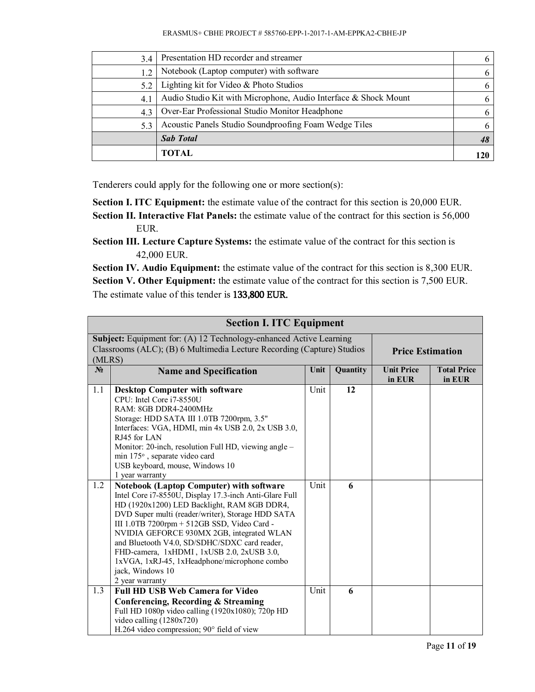| 3.4 | Presentation HD recorder and streamer                           | 6 |
|-----|-----------------------------------------------------------------|---|
| 1.2 | Notebook (Laptop computer) with software                        | 6 |
| 5.2 | Lighting kit for Video & Photo Studios                          | 6 |
| 4.1 | Audio Studio Kit with Microphone, Audio Interface & Shock Mount | 6 |
| 4.3 | Over-Ear Professional Studio Monitor Headphone                  | 6 |
| 5.3 | Acoustic Panels Studio Soundproofing Foam Wedge Tiles           | 6 |
|     | <b>Sab Total</b>                                                |   |
|     | TOTAL                                                           |   |

Tenderers could apply for the following one or more section(s):

**Section I. ITC Equipment:** the estimate value of the contract for this section is 20,000 EUR.

**Section II. Interactive Flat Panels:** the estimate value of the contract for this section is 56,000 EUR.

**Section III. Lecture Capture Systems:** the estimate value of the contract for this section is 42,000 EUR.

**Section IV. Audio Equipment:** the estimate value of the contract for this section is 8,300 EUR. **Section V. Other Equipment:** the estimate value of the contract for this section is 7,500 EUR. The estimate value of this tender is **133,800 EUR.**

|        | <b>Section I. ITC Equipment</b>                                                                                                                                                                                                                                                                                                                                                                                                                                                                |                         |          |                             |                              |
|--------|------------------------------------------------------------------------------------------------------------------------------------------------------------------------------------------------------------------------------------------------------------------------------------------------------------------------------------------------------------------------------------------------------------------------------------------------------------------------------------------------|-------------------------|----------|-----------------------------|------------------------------|
| (MLRS) | Subject: Equipment for: (A) 12 Technology-enhanced Active Learning<br>Classrooms (ALC); (B) 6 Multimedia Lecture Recording (Capture) Studios                                                                                                                                                                                                                                                                                                                                                   | <b>Price Estimation</b> |          |                             |                              |
| $N_2$  | <b>Name and Specification</b>                                                                                                                                                                                                                                                                                                                                                                                                                                                                  | Unit                    | Quantity | <b>Unit Price</b><br>in EUR | <b>Total Price</b><br>in EUR |
| 1.1    | <b>Desktop Computer with software</b><br>CPU: Intel Core i7-8550U<br>RAM: 8GB DDR4-2400MHz<br>Storage: HDD SATA III 1.0TB 7200rpm, 3.5"<br>Interfaces: VGA, HDMI, min 4x USB 2.0, 2x USB 3.0,<br>RJ45 for LAN<br>Monitor: 20-inch, resolution Full HD, viewing angle -<br>min 175°, separate video card<br>USB keyboard, mouse, Windows 10<br>1 year warranty                                                                                                                                  | Unit                    | 12       |                             |                              |
| 1.2    | <b>Notebook (Laptop Computer) with software</b><br>Intel Core i7-8550U, Display 17.3-inch Anti-Glare Full<br>HD (1920x1200) LED Backlight, RAM 8GB DDR4,<br>DVD Super multi (reader/writer), Storage HDD SATA<br>III 1.0TB 7200rpm + 512GB SSD, Video Card -<br>NVIDIA GEFORCE 930MX 2GB, integrated WLAN<br>and Bluetooth V4.0, SD/SDHC/SDXC card reader,<br>FHD-camera, 1xHDMI, 1xUSB 2.0, 2xUSB 3.0,<br>1xVGA, 1xRJ-45, 1xHeadphone/microphone combo<br>jack, Windows 10<br>2 year warranty | Unit                    | 6        |                             |                              |
| 1.3    | <b>Full HD USB Web Camera for Video</b><br>Conferencing, Recording & Streaming<br>Full HD 1080p video calling (1920x1080); 720p HD<br>video calling (1280x720)<br>H.264 video compression; 90° field of view                                                                                                                                                                                                                                                                                   | Unit                    | 6        |                             |                              |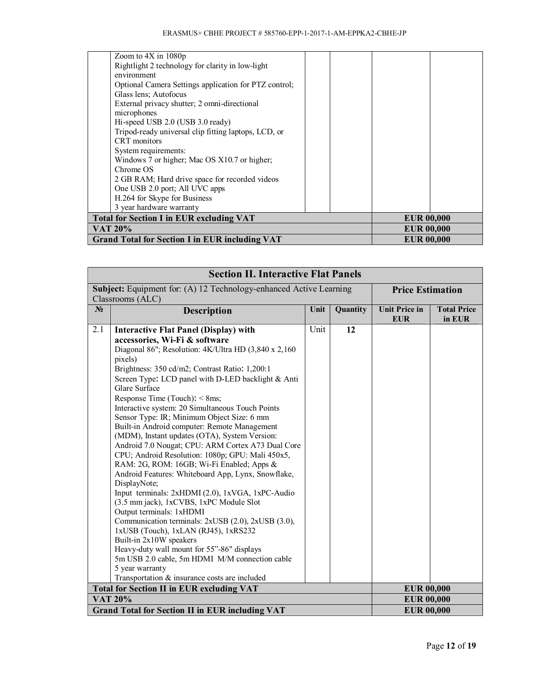| Zoom to $4X$ in $1080p$                               |                   |
|-------------------------------------------------------|-------------------|
| Rightlight 2 technology for clarity in low-light      |                   |
| environment                                           |                   |
| Optional Camera Settings application for PTZ control; |                   |
| Glass lens; Autofocus                                 |                   |
| External privacy shutter; 2 omni-directional          |                   |
| microphones                                           |                   |
| Hi-speed USB 2.0 (USB 3.0 ready)                      |                   |
| Tripod-ready universal clip fitting laptops, LCD, or  |                   |
| CRT monitors                                          |                   |
| System requirements:                                  |                   |
| Windows 7 or higher; Mac OS X10.7 or higher;          |                   |
| Chrome OS                                             |                   |
| 2 GB RAM; Hard drive space for recorded videos        |                   |
| One USB 2.0 port; All UVC apps                        |                   |
| H.264 for Skype for Business                          |                   |
| 3 year hardware warranty                              |                   |
| <b>Total for Section I in EUR excluding VAT</b>       | <b>EUR 00,000</b> |
| VAT 20%                                               | <b>EUR 00,000</b> |
| <b>Grand Total for Section I in EUR including VAT</b> | <b>EUR 00,000</b> |

|                | <b>Section II. Interactive Flat Panels</b>                         |      |          |                                    |                              |
|----------------|--------------------------------------------------------------------|------|----------|------------------------------------|------------------------------|
|                | Subject: Equipment for: (A) 12 Technology-enhanced Active Learning |      |          | <b>Price Estimation</b>            |                              |
|                | Classrooms (ALC)                                                   |      |          |                                    |                              |
| N <sub>2</sub> | <b>Description</b>                                                 | Unit | Quantity | <b>Unit Price in</b><br><b>EUR</b> | <b>Total Price</b><br>in EUR |
| 2.1            | <b>Interactive Flat Panel (Display) with</b>                       | Unit | 12       |                                    |                              |
|                | accessories, Wi-Fi & software                                      |      |          |                                    |                              |
|                | Diagonal 86"; Resolution: 4K/Ultra HD (3,840 x 2,160)              |      |          |                                    |                              |
|                | pixels)                                                            |      |          |                                    |                              |
|                | Brightness: 350 cd/m2; Contrast Ratio: 1,200:1                     |      |          |                                    |                              |
|                | Screen Type: LCD panel with D-LED backlight & Anti                 |      |          |                                    |                              |
|                | Glare Surface                                                      |      |          |                                    |                              |
|                | Response Time (Touch): < 8ms;                                      |      |          |                                    |                              |
|                | Interactive system: 20 Simultaneous Touch Points                   |      |          |                                    |                              |
|                | Sensor Type: IR; Minimum Object Size: 6 mm                         |      |          |                                    |                              |
|                | Built-in Android computer: Remote Management                       |      |          |                                    |                              |
|                | (MDM), Instant updates (OTA), System Version:                      |      |          |                                    |                              |
|                | Android 7.0 Nougat; CPU: ARM Cortex A73 Dual Core                  |      |          |                                    |                              |
|                | CPU; Android Resolution: 1080p; GPU: Mali 450x5,                   |      |          |                                    |                              |
|                | RAM: 2G, ROM: 16GB; Wi-Fi Enabled; Apps &                          |      |          |                                    |                              |
|                | Android Features: Whiteboard App, Lynx, Snowflake,                 |      |          |                                    |                              |
|                | DisplayNote;                                                       |      |          |                                    |                              |
|                | Input terminals: 2xHDMI (2.0), 1xVGA, 1xPC-Audio                   |      |          |                                    |                              |
|                | (3.5 mm jack), 1xCVBS, 1xPC Module Slot                            |      |          |                                    |                              |
|                | Output terminals: 1xHDMI                                           |      |          |                                    |                              |
|                | Communication terminals: 2xUSB (2.0), 2xUSB (3.0),                 |      |          |                                    |                              |
|                | 1xUSB (Touch), 1xLAN (RJ45), 1xRS232                               |      |          |                                    |                              |
|                | Built-in 2x10W speakers                                            |      |          |                                    |                              |
|                | Heavy-duty wall mount for 55"-86" displays                         |      |          |                                    |                              |
|                | 5m USB 2.0 cable, 5m HDMI M/M connection cable<br>5 year warranty  |      |          |                                    |                              |
|                | Transportation & insurance costs are included                      |      |          |                                    |                              |
|                |                                                                    |      |          |                                    |                              |
|                | <b>Total for Section II in EUR excluding VAT</b>                   |      |          | <b>EUR 00,000</b>                  |                              |
|                | <b>VAT 20%</b>                                                     |      |          | <b>EUR 00,000</b>                  |                              |
|                | <b>Grand Total for Section II in EUR including VAT</b>             |      |          | <b>EUR 00,000</b>                  |                              |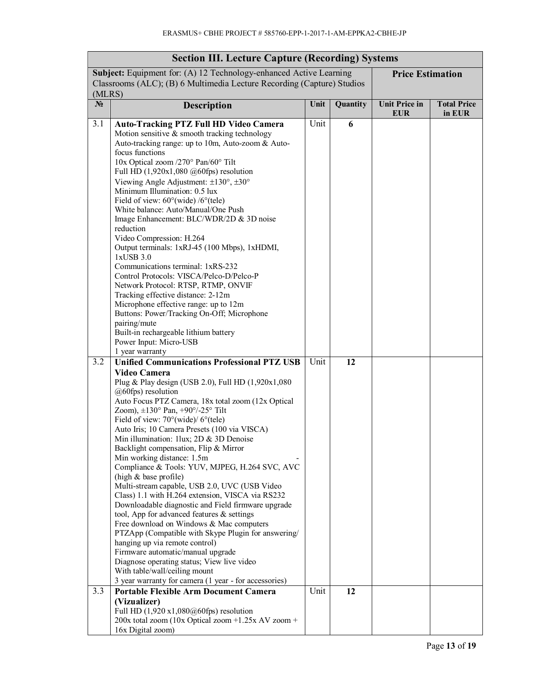| <b>Section III. Lecture Capture (Recording) Systems</b> |                                                                                                                                                                                                                                                                                                                                                                                                                                                                                                                                                                                                                                                                                                                                                                                                                                                                                                                                                                                                                                                                                       |      |          |                                    |                              |
|---------------------------------------------------------|---------------------------------------------------------------------------------------------------------------------------------------------------------------------------------------------------------------------------------------------------------------------------------------------------------------------------------------------------------------------------------------------------------------------------------------------------------------------------------------------------------------------------------------------------------------------------------------------------------------------------------------------------------------------------------------------------------------------------------------------------------------------------------------------------------------------------------------------------------------------------------------------------------------------------------------------------------------------------------------------------------------------------------------------------------------------------------------|------|----------|------------------------------------|------------------------------|
| (MLRS)                                                  | Subject: Equipment for: (A) 12 Technology-enhanced Active Learning<br>Classrooms (ALC); (B) 6 Multimedia Lecture Recording (Capture) Studios                                                                                                                                                                                                                                                                                                                                                                                                                                                                                                                                                                                                                                                                                                                                                                                                                                                                                                                                          |      |          | <b>Price Estimation</b>            |                              |
| $N_2$                                                   | Description                                                                                                                                                                                                                                                                                                                                                                                                                                                                                                                                                                                                                                                                                                                                                                                                                                                                                                                                                                                                                                                                           | Unit | Quantity | <b>Unit Price in</b><br><b>EUR</b> | <b>Total Price</b><br>in EUR |
| 3.1                                                     | <b>Auto-Tracking PTZ Full HD Video Camera</b><br>Motion sensitive & smooth tracking technology<br>Auto-tracking range: up to 10m, Auto-zoom & Auto-<br>focus functions<br>10x Optical zoom /270° Pan/60° Tilt<br>Full HD $(1,920x1,080 \text{ @60fps})$ resolution<br>Viewing Angle Adjustment: $\pm 130^\circ$ , $\pm 30^\circ$<br>Minimum Illumination: 0.5 lux<br>Field of view: $60^{\circ}$ (wide) / $6^{\circ}$ (tele)<br>White balance: Auto/Manual/One Push<br>Image Enhancement: BLC/WDR/2D & 3D noise<br>reduction<br>Video Compression: H.264<br>Output terminals: 1xRJ-45 (100 Mbps), 1xHDMI,<br>1xUSB 3.0<br>Communications terminal: 1xRS-232<br>Control Protocols: VISCA/Pelco-D/Pelco-P<br>Network Protocol: RTSP, RTMP, ONVIF<br>Tracking effective distance: 2-12m<br>Microphone effective range: up to 12m<br>Buttons: Power/Tracking On-Off; Microphone<br>pairing/mute<br>Built-in rechargeable lithium battery<br>Power Input: Micro-USB<br>1 year warranty                                                                                                     | Unit | 6        |                                    |                              |
| 3.2                                                     | <b>Unified Communications Professional PTZ USB</b><br><b>Video Camera</b><br>Plug & Play design (USB 2.0), Full HD (1,920x1,080<br>@60fps) resolution<br>Auto Focus PTZ Camera, 18x total zoom (12x Optical<br>Zoom), ±130° Pan, +90°/-25° Tilt<br>Field of view: $70^{\circ}$ (wide)/ $6^{\circ}$ (tele)<br>Auto Iris; 10 Camera Presets (100 via VISCA)<br>Min illumination: 1 lux: $2D \& 3D$ Denoise<br>Backlight compensation, Flip & Mirror<br>Min working distance: 1.5m<br>Compliance & Tools: YUV, MJPEG, H.264 SVC, AVC<br>(high & base profile)<br>Multi-stream capable, USB 2.0, UVC (USB Video<br>Class) 1.1 with H.264 extension, VISCA via RS232<br>Downloadable diagnostic and Field firmware upgrade<br>tool, App for advanced features & settings<br>Free download on Windows & Mac computers<br>PTZApp (Compatible with Skype Plugin for answering/<br>hanging up via remote control)<br>Firmware automatic/manual upgrade<br>Diagnose operating status; View live video<br>With table/wall/ceiling mount<br>3 year warranty for camera (1 year - for accessories) | Unit | 12       |                                    |                              |
| 3.3                                                     | <b>Portable Flexible Arm Document Camera</b><br>(Vizualizer)<br>Full HD $(1,920 \text{ x}1,080 \text{ (a)}60 \text{ (ps)})$ resolution<br>200x total zoom (10x Optical zoom +1.25x AV zoom +<br>16x Digital zoom)                                                                                                                                                                                                                                                                                                                                                                                                                                                                                                                                                                                                                                                                                                                                                                                                                                                                     | Unit | 12       |                                    |                              |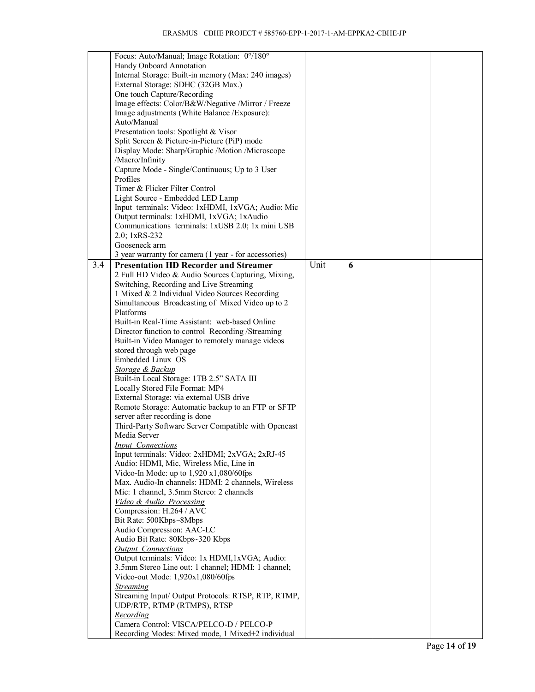|     | Focus: Auto/Manual; Image Rotation: 0°/180°           |      |   |  |
|-----|-------------------------------------------------------|------|---|--|
|     |                                                       |      |   |  |
|     | Handy Onboard Annotation                              |      |   |  |
|     | Internal Storage: Built-in memory (Max: 240 images)   |      |   |  |
|     | External Storage: SDHC (32GB Max.)                    |      |   |  |
|     | One touch Capture/Recording                           |      |   |  |
|     |                                                       |      |   |  |
|     | Image effects: Color/B&W/Negative /Mirror / Freeze    |      |   |  |
|     | Image adjustments (White Balance / Exposure):         |      |   |  |
|     | Auto/Manual                                           |      |   |  |
|     | Presentation tools: Spotlight & Visor                 |      |   |  |
|     |                                                       |      |   |  |
|     | Split Screen & Picture-in-Picture (PiP) mode          |      |   |  |
|     | Display Mode: Sharp/Graphic /Motion /Microscope       |      |   |  |
|     | /Macro/Infinity                                       |      |   |  |
|     | Capture Mode - Single/Continuous; Up to 3 User        |      |   |  |
|     | Profiles                                              |      |   |  |
|     |                                                       |      |   |  |
|     | Timer & Flicker Filter Control                        |      |   |  |
|     | Light Source - Embedded LED Lamp                      |      |   |  |
|     | Input terminals: Video: 1xHDMI, 1xVGA; Audio: Mic     |      |   |  |
|     | Output terminals: 1xHDMI, 1xVGA; 1xAudio              |      |   |  |
|     |                                                       |      |   |  |
|     | Communications terminals: 1xUSB 2.0; 1x mini USB      |      |   |  |
|     | 2.0; 1xRS-232                                         |      |   |  |
|     | Gooseneck arm                                         |      |   |  |
|     | 3 year warranty for camera (1 year - for accessories) |      |   |  |
| 3.4 |                                                       | Unit |   |  |
|     | <b>Presentation HD Recorder and Streamer</b>          |      | 6 |  |
|     | 2 Full HD Video & Audio Sources Capturing, Mixing,    |      |   |  |
|     | Switching, Recording and Live Streaming               |      |   |  |
|     | 1 Mixed & 2 Individual Video Sources Recording        |      |   |  |
|     | Simultaneous Broadcasting of Mixed Video up to 2      |      |   |  |
|     |                                                       |      |   |  |
|     | Platforms                                             |      |   |  |
|     | Built-in Real-Time Assistant: web-based Online        |      |   |  |
|     | Director function to control Recording /Streaming     |      |   |  |
|     | Built-in Video Manager to remotely manage videos      |      |   |  |
|     |                                                       |      |   |  |
|     | stored through web page                               |      |   |  |
|     | Embedded Linux OS                                     |      |   |  |
|     | Storage & Backup                                      |      |   |  |
|     | Built-in Local Storage: 1TB 2.5" SATA III             |      |   |  |
|     | Locally Stored File Format: MP4                       |      |   |  |
|     |                                                       |      |   |  |
|     | External Storage: via external USB drive              |      |   |  |
|     | Remote Storage: Automatic backup to an FTP or SFTP    |      |   |  |
|     | server after recording is done                        |      |   |  |
|     | Third-Party Software Server Compatible with Opencast  |      |   |  |
|     |                                                       |      |   |  |
|     | Media Server                                          |      |   |  |
|     | <b>Input Connections</b>                              |      |   |  |
|     | Input terminals: Video: 2xHDMI; 2xVGA; 2xRJ-45        |      |   |  |
|     | Audio: HDMI, Mic, Wireless Mic, Line in               |      |   |  |
|     | Video-In Mode: up to 1,920 x1,080/60fps               |      |   |  |
|     | Max. Audio-In channels: HDMI: 2 channels, Wireless    |      |   |  |
|     |                                                       |      |   |  |
|     | Mic: 1 channel, 3.5mm Stereo: 2 channels              |      |   |  |
|     | Video & Audio Processing                              |      |   |  |
|     | Compression: H.264 / AVC                              |      |   |  |
|     | Bit Rate: 500Kbps~8Mbps                               |      |   |  |
|     | Audio Compression: AAC-LC                             |      |   |  |
|     |                                                       |      |   |  |
|     | Audio Bit Rate: 80Kbps~320 Kbps                       |      |   |  |
|     | <b>Output Connections</b>                             |      |   |  |
|     | Output terminals: Video: 1x HDMI,1xVGA; Audio:        |      |   |  |
|     | 3.5mm Stereo Line out: 1 channel; HDMI: 1 channel;    |      |   |  |
|     |                                                       |      |   |  |
|     | Video-out Mode: 1,920x1,080/60fps                     |      |   |  |
|     | <b>Streaming</b>                                      |      |   |  |
|     | Streaming Input/ Output Protocols: RTSP, RTP, RTMP,   |      |   |  |
|     | UDP/RTP, RTMP (RTMPS), RTSP                           |      |   |  |
|     | Recording                                             |      |   |  |
|     |                                                       |      |   |  |
|     | Camera Control: VISCA/PELCO-D / PELCO-P               |      |   |  |
|     | Recording Modes: Mixed mode, 1 Mixed+2 individual     |      |   |  |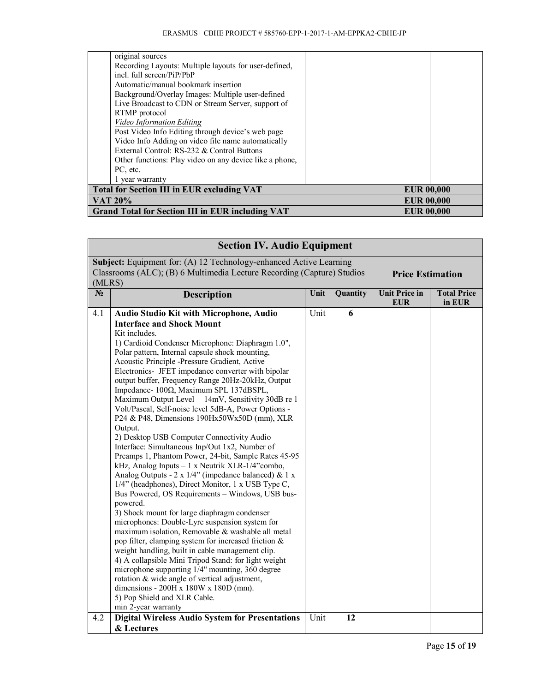|                                                   | original sources<br>Recording Layouts: Multiple layouts for user-defined,<br>incl. full screen/PiP/PbP<br>Automatic/manual bookmark insertion<br>Background/Overlay Images: Multiple user-defined<br>Live Broadcast to CDN or Stream Server, support of                                              |  |                   |                   |  |
|---------------------------------------------------|------------------------------------------------------------------------------------------------------------------------------------------------------------------------------------------------------------------------------------------------------------------------------------------------------|--|-------------------|-------------------|--|
|                                                   | RTMP protocol<br><b>Video Information Editing</b><br>Post Video Info Editing through device's web page<br>Video Info Adding on video file name automatically<br>External Control: RS-232 & Control Buttons<br>Other functions: Play video on any device like a phone,<br>PC, etc.<br>1 year warranty |  |                   |                   |  |
| <b>Total for Section III in EUR excluding VAT</b> |                                                                                                                                                                                                                                                                                                      |  | <b>EUR 00,000</b> |                   |  |
|                                                   | <b>VAT 20%</b>                                                                                                                                                                                                                                                                                       |  | <b>EUR 00,000</b> |                   |  |
|                                                   | <b>Grand Total for Section III in EUR including VAT</b>                                                                                                                                                                                                                                              |  |                   | <b>EUR 00.000</b> |  |

|       | <b>Section IV. Audio Equipment</b>                                                                                                                                                                                                                                                                                                                                                                                                                                                                                                                                                                                                                                                                                                                                                                                                                                                                                                                                                                                                                                                                                                                                                                                                                                                                                                                                                                                                                            |      |          |                                    |                              |
|-------|---------------------------------------------------------------------------------------------------------------------------------------------------------------------------------------------------------------------------------------------------------------------------------------------------------------------------------------------------------------------------------------------------------------------------------------------------------------------------------------------------------------------------------------------------------------------------------------------------------------------------------------------------------------------------------------------------------------------------------------------------------------------------------------------------------------------------------------------------------------------------------------------------------------------------------------------------------------------------------------------------------------------------------------------------------------------------------------------------------------------------------------------------------------------------------------------------------------------------------------------------------------------------------------------------------------------------------------------------------------------------------------------------------------------------------------------------------------|------|----------|------------------------------------|------------------------------|
|       | Subject: Equipment for: (A) 12 Technology-enhanced Active Learning<br>Classrooms (ALC); (B) 6 Multimedia Lecture Recording (Capture) Studios<br>(MLRS)                                                                                                                                                                                                                                                                                                                                                                                                                                                                                                                                                                                                                                                                                                                                                                                                                                                                                                                                                                                                                                                                                                                                                                                                                                                                                                        |      |          | <b>Price Estimation</b>            |                              |
| $N_2$ | <b>Description</b>                                                                                                                                                                                                                                                                                                                                                                                                                                                                                                                                                                                                                                                                                                                                                                                                                                                                                                                                                                                                                                                                                                                                                                                                                                                                                                                                                                                                                                            | Unit | Quantity | <b>Unit Price in</b><br><b>EUR</b> | <b>Total Price</b><br>in EUR |
| 4.1   | <b>Audio Studio Kit with Microphone, Audio</b>                                                                                                                                                                                                                                                                                                                                                                                                                                                                                                                                                                                                                                                                                                                                                                                                                                                                                                                                                                                                                                                                                                                                                                                                                                                                                                                                                                                                                | Unit | 6        |                                    |                              |
|       | <b>Interface and Shock Mount</b><br>Kit includes.<br>1) Cardioid Condenser Microphone: Diaphragm 1.0",<br>Polar pattern, Internal capsule shock mounting,<br>Acoustic Principle -Pressure Gradient, Active<br>Electronics- JFET impedance converter with bipolar<br>output buffer, Frequency Range 20Hz-20kHz, Output<br>Impedance-100Ω, Maximum SPL 137dBSPL,<br>Maximum Output Level 14mV, Sensitivity 30dB re 1<br>Volt/Pascal, Self-noise level 5dB-A, Power Options -<br>P24 & P48, Dimensions 190Hx50Wx50D (mm), XLR<br>Output.<br>2) Desktop USB Computer Connectivity Audio<br>Interface: Simultaneous Inp/Out 1x2, Number of<br>Preamps 1, Phantom Power, 24-bit, Sample Rates 45-95<br>kHz, Analog Inputs - 1 x Neutrik XLR-1/4"combo,<br>Analog Outputs - 2 x 1/4" (impedance balanced) & 1 x<br>1/4" (headphones), Direct Monitor, 1 x USB Type C,<br>Bus Powered, OS Requirements - Windows, USB bus-<br>powered.<br>3) Shock mount for large diaphragm condenser<br>microphones: Double-Lyre suspension system for<br>maximum isolation, Removable & washable all metal<br>pop filter, clamping system for increased friction &<br>weight handling, built in cable management clip.<br>4) A collapsible Mini Tripod Stand: for light weight<br>microphone supporting 1/4" mounting, 360 degree<br>rotation & wide angle of vertical adjustment,<br>dimensions - 200H x 180W x 180D (mm).<br>5) Pop Shield and XLR Cable.<br>min 2-year warranty |      |          |                                    |                              |
| 4.2   | <b>Digital Wireless Audio System for Presentations</b>                                                                                                                                                                                                                                                                                                                                                                                                                                                                                                                                                                                                                                                                                                                                                                                                                                                                                                                                                                                                                                                                                                                                                                                                                                                                                                                                                                                                        | Unit | 12       |                                    |                              |
|       | & Lectures                                                                                                                                                                                                                                                                                                                                                                                                                                                                                                                                                                                                                                                                                                                                                                                                                                                                                                                                                                                                                                                                                                                                                                                                                                                                                                                                                                                                                                                    |      |          |                                    |                              |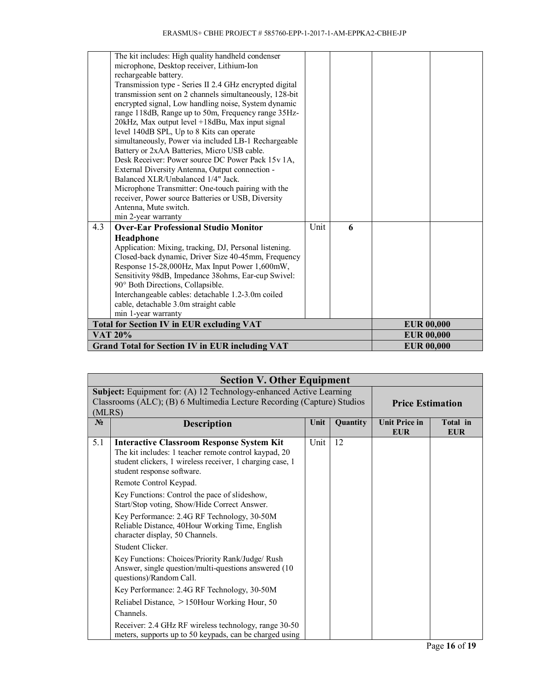|     | <b>Total for Section IV in EUR excluding VAT</b><br><b>VAT 20%</b>                                                 |      |   | <b>EUR 00,000</b><br><b>EUR 00,000</b> |  |
|-----|--------------------------------------------------------------------------------------------------------------------|------|---|----------------------------------------|--|
|     |                                                                                                                    |      |   |                                        |  |
|     | cable, detachable 3.0m straight cable<br>min 1-year warranty                                                       |      |   |                                        |  |
|     | 90° Both Directions, Collapsible.<br>Interchangeable cables: detachable 1.2-3.0m coiled                            |      |   |                                        |  |
|     | Sensitivity 98dB, Impedance 38ohms, Ear-cup Swivel:                                                                |      |   |                                        |  |
|     | Response 15-28,000Hz, Max Input Power 1,600mW,                                                                     |      |   |                                        |  |
|     | Application: Mixing, tracking, DJ, Personal listening.<br>Closed-back dynamic, Driver Size 40-45mm, Frequency      |      |   |                                        |  |
|     | Headphone                                                                                                          |      |   |                                        |  |
| 4.3 | <b>Over-Ear Professional Studio Monitor</b>                                                                        | Unit | 6 |                                        |  |
|     | min 2-year warranty                                                                                                |      |   |                                        |  |
|     | Antenna, Mute switch.                                                                                              |      |   |                                        |  |
|     | receiver, Power source Batteries or USB, Diversity                                                                 |      |   |                                        |  |
|     | Microphone Transmitter: One-touch pairing with the                                                                 |      |   |                                        |  |
|     | Balanced XLR/Unbalanced 1/4" Jack.                                                                                 |      |   |                                        |  |
|     | Desk Receiver: Power source DC Power Pack 15v 1A,<br>External Diversity Antenna, Output connection -               |      |   |                                        |  |
|     | Battery or 2xAA Batteries, Micro USB cable.                                                                        |      |   |                                        |  |
|     | simultaneously, Power via included LB-1 Rechargeable                                                               |      |   |                                        |  |
|     | level 140dB SPL, Up to 8 Kits can operate                                                                          |      |   |                                        |  |
|     | 20kHz, Max output level +18dBu, Max input signal                                                                   |      |   |                                        |  |
|     | range 118dB, Range up to 50m, Frequency range 35Hz-                                                                |      |   |                                        |  |
|     | encrypted signal, Low handling noise, System dynamic                                                               |      |   |                                        |  |
|     | Transmission type - Series II 2.4 GHz encrypted digital<br>transmission sent on 2 channels simultaneously, 128-bit |      |   |                                        |  |
|     | rechargeable battery.                                                                                              |      |   |                                        |  |
|     | microphone, Desktop receiver, Lithium-Ion                                                                          |      |   |                                        |  |
|     | The kit includes: High quality handheld condenser                                                                  |      |   |                                        |  |

|        | <b>Section V. Other Equipment</b>                                                                                                                                                                    |      |          |                                    |                        |  |
|--------|------------------------------------------------------------------------------------------------------------------------------------------------------------------------------------------------------|------|----------|------------------------------------|------------------------|--|
|        | Subject: Equipment for: (A) 12 Technology-enhanced Active Learning                                                                                                                                   |      |          |                                    |                        |  |
|        | Classrooms (ALC); (B) 6 Multimedia Lecture Recording (Capture) Studios                                                                                                                               |      |          | <b>Price Estimation</b>            |                        |  |
| (MLRS) |                                                                                                                                                                                                      |      |          |                                    |                        |  |
| $N_2$  | <b>Description</b>                                                                                                                                                                                   | Unit | Quantity | <b>Unit Price in</b><br><b>EUR</b> | Total in<br><b>EUR</b> |  |
| 5.1    | <b>Interactive Classroom Response System Kit</b><br>The kit includes: 1 teacher remote control kaypad, 20<br>student clickers, 1 wireless receiver, 1 charging case, 1<br>student response software. | Unit | 12       |                                    |                        |  |
|        | Remote Control Keypad.                                                                                                                                                                               |      |          |                                    |                        |  |
|        | Key Functions: Control the pace of slideshow,<br>Start/Stop voting, Show/Hide Correct Answer.                                                                                                        |      |          |                                    |                        |  |
|        | Key Performance: 2.4G RF Technology, 30-50M<br>Reliable Distance, 40Hour Working Time, English<br>character display, 50 Channels.                                                                    |      |          |                                    |                        |  |
|        | Student Clicker.                                                                                                                                                                                     |      |          |                                    |                        |  |
|        | Key Functions: Choices/Priority Rank/Judge/ Rush<br>Answer, single question/multi-questions answered (10<br>questions)/Random Call.                                                                  |      |          |                                    |                        |  |
|        | Key Performance: 2.4G RF Technology, 30-50M                                                                                                                                                          |      |          |                                    |                        |  |
|        | Reliabel Distance, >150Hour Working Hour, 50                                                                                                                                                         |      |          |                                    |                        |  |
|        | Channels.                                                                                                                                                                                            |      |          |                                    |                        |  |
|        | Receiver: 2.4 GHz RF wireless technology, range 30-50<br>meters, supports up to 50 keypads, can be charged using                                                                                     |      |          |                                    |                        |  |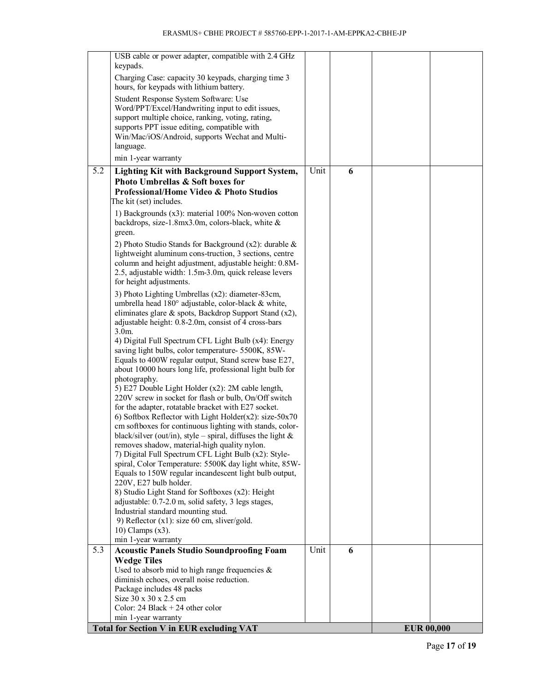|                  | USB cable or power adapter, compatible with 2.4 GHz            |      |   |                   |  |
|------------------|----------------------------------------------------------------|------|---|-------------------|--|
|                  | keypads.                                                       |      |   |                   |  |
|                  |                                                                |      |   |                   |  |
|                  | Charging Case: capacity 30 keypads, charging time 3            |      |   |                   |  |
|                  | hours, for keypads with lithium battery.                       |      |   |                   |  |
|                  | Student Response System Software: Use                          |      |   |                   |  |
|                  | Word/PPT/Excel/Handwriting input to edit issues,               |      |   |                   |  |
|                  | support multiple choice, ranking, voting, rating,              |      |   |                   |  |
|                  | supports PPT issue editing, compatible with                    |      |   |                   |  |
|                  | Win/Mac/iOS/Android, supports Wechat and Multi-                |      |   |                   |  |
|                  | language.                                                      |      |   |                   |  |
|                  | min 1-year warranty                                            |      |   |                   |  |
| $\overline{5.2}$ | <b>Lighting Kit with Background Support System,</b>            | Unit | 6 |                   |  |
|                  | Photo Umbrellas & Soft boxes for                               |      |   |                   |  |
|                  | Professional/Home Video & Photo Studios                        |      |   |                   |  |
|                  | The kit (set) includes.                                        |      |   |                   |  |
|                  |                                                                |      |   |                   |  |
|                  | 1) Backgrounds (x3): material 100% Non-woven cotton            |      |   |                   |  |
|                  | backdrops, size-1.8mx3.0m, colors-black, white &               |      |   |                   |  |
|                  | green.                                                         |      |   |                   |  |
|                  | 2) Photo Studio Stands for Background $(x2)$ : durable &       |      |   |                   |  |
|                  | lightweight aluminum cons-truction, 3 sections, centre         |      |   |                   |  |
|                  | column and height adjustment, adjustable height: 0.8M-         |      |   |                   |  |
|                  | 2.5, adjustable width: 1.5m-3.0m, quick release levers         |      |   |                   |  |
|                  | for height adjustments.                                        |      |   |                   |  |
|                  | 3) Photo Lighting Umbrellas (x2): diameter-83cm,               |      |   |                   |  |
|                  | umbrella head 180° adjustable, color-black & white,            |      |   |                   |  |
|                  | eliminates glare & spots, Backdrop Support Stand (x2),         |      |   |                   |  |
|                  |                                                                |      |   |                   |  |
|                  | adjustable height: 0.8-2.0m, consist of 4 cross-bars           |      |   |                   |  |
|                  | $3.0m$ .                                                       |      |   |                   |  |
|                  | 4) Digital Full Spectrum CFL Light Bulb (x4): Energy           |      |   |                   |  |
|                  | saving light bulbs, color temperature- 5500K, 85W-             |      |   |                   |  |
|                  | Equals to 400W regular output, Stand screw base E27,           |      |   |                   |  |
|                  | about 10000 hours long life, professional light bulb for       |      |   |                   |  |
|                  | photography.                                                   |      |   |                   |  |
|                  | 5) E27 Double Light Holder (x2): 2M cable length,              |      |   |                   |  |
|                  | 220V screw in socket for flash or bulb, On/Off switch          |      |   |                   |  |
|                  | for the adapter, rotatable bracket with E27 socket.            |      |   |                   |  |
|                  | 6) Softbox Reflector with Light Holder( $x2$ ): size- $50x70$  |      |   |                   |  |
|                  | cm softboxes for continuous lighting with stands, color-       |      |   |                   |  |
|                  | black/silver (out/in), style – spiral, diffuses the light $\&$ |      |   |                   |  |
|                  | removes shadow, material-high quality nylon.                   |      |   |                   |  |
|                  | 7) Digital Full Spectrum CFL Light Bulb (x2): Style-           |      |   |                   |  |
|                  | spiral, Color Temperature: 5500K day light white, 85W-         |      |   |                   |  |
|                  | Equals to 150W regular incandescent light bulb output,         |      |   |                   |  |
|                  | 220V, E27 bulb holder.                                         |      |   |                   |  |
|                  | 8) Studio Light Stand for Softboxes (x2): Height               |      |   |                   |  |
|                  | adjustable: 0.7-2.0 m, solid safety, 3 legs stages,            |      |   |                   |  |
|                  | Industrial standard mounting stud.                             |      |   |                   |  |
|                  | 9) Reflector (x1): size 60 cm, sliver/gold.                    |      |   |                   |  |
|                  | $10)$ Clamps $(x3)$ .                                          |      |   |                   |  |
|                  | min 1-year warranty                                            |      |   |                   |  |
| 5.3              | <b>Acoustic Panels Studio Soundproofing Foam</b>               | Unit | 6 |                   |  |
|                  |                                                                |      |   |                   |  |
|                  | <b>Wedge Tiles</b>                                             |      |   |                   |  |
|                  | Used to absorb mid to high range frequencies $\&$              |      |   |                   |  |
|                  | diminish echoes, overall noise reduction.                      |      |   |                   |  |
|                  | Package includes 48 packs                                      |      |   |                   |  |
|                  | Size 30 x 30 x 2.5 cm                                          |      |   |                   |  |
|                  | Color: 24 Black $+ 24$ other color                             |      |   |                   |  |
|                  | min 1-year warranty                                            |      |   |                   |  |
|                  | <b>Total for Section V in EUR excluding VAT</b>                |      |   | <b>EUR 00,000</b> |  |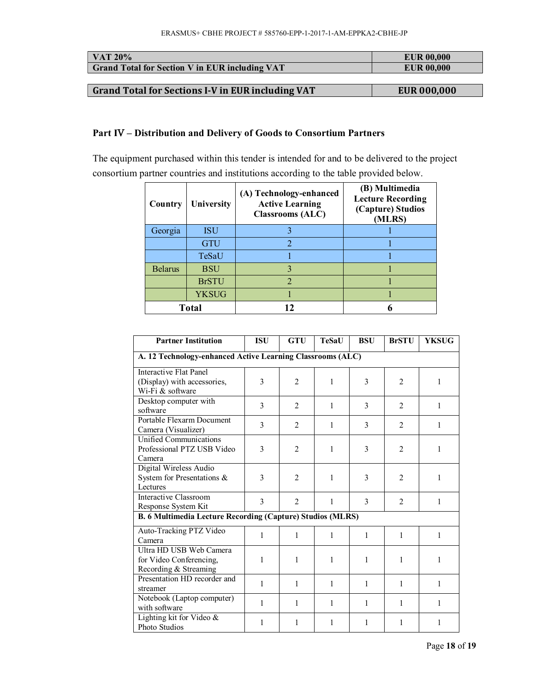| $\overline{\phantom{1}}$ VAT 20%                      | <b>EUR 00.000</b> |
|-------------------------------------------------------|-------------------|
| <b>Grand Total for Section V in EUR including VAT</b> | <b>EUR 00,000</b> |
|                                                       |                   |

**a** Grand Total for Sections I-V in EUR including VAT **EUR** 000,000

#### **Part IV – Distribution and Delivery of Goods to Consortium Partners**

The equipment purchased within this tender is intended for and to be delivered to the project consortium partner countries and institutions according to the table provided below.

| Country        | University   | (A) Technology-enhanced<br><b>Active Learning</b><br><b>Classrooms (ALC)</b> | (B) Multimedia<br><b>Lecture Recording</b><br>(Capture) Studios<br>(MLRS) |
|----------------|--------------|------------------------------------------------------------------------------|---------------------------------------------------------------------------|
| Georgia        | <b>ISU</b>   |                                                                              |                                                                           |
|                | <b>GTU</b>   |                                                                              |                                                                           |
|                | TeSaU        |                                                                              |                                                                           |
| <b>Belarus</b> | <b>BSU</b>   |                                                                              |                                                                           |
|                | <b>BrSTU</b> | $\mathcal{D}_{\mathcal{A}}$                                                  |                                                                           |
|                | <b>YKSUG</b> |                                                                              |                                                                           |
| <b>Total</b>   |              |                                                                              |                                                                           |

| <b>Partner Institution</b>                                                       | <b>ISU</b>    | <b>GTU</b>     | TeSaU | <b>BSU</b> | <b>BrSTU</b>   | <b>YKSUG</b> |  |
|----------------------------------------------------------------------------------|---------------|----------------|-------|------------|----------------|--------------|--|
| A. 12 Technology-enhanced Active Learning Classrooms (ALC)                       |               |                |       |            |                |              |  |
| <b>Interactive Flat Panel</b><br>(Display) with accessories,<br>Wi-Fi & software | 3             | $\overline{2}$ | 1     | 3          | $\overline{2}$ | $\mathbf{1}$ |  |
| Desktop computer with<br>software                                                | 3             | $\mathfrak{D}$ | 1     | 3          | $\mathfrak{D}$ | $\mathbf{1}$ |  |
| Portable Flexarm Document<br>Camera (Visualizer)                                 | $\mathcal{E}$ | $\overline{2}$ | 1     | 3          | $\overline{2}$ | 1            |  |
| Unified Communications<br>Professional PTZ USB Video<br>Camera                   | 3             | $\overline{2}$ | 1     | 3          | $\overline{2}$ | 1            |  |
| Digital Wireless Audio<br>System for Presentations &<br>Lectures                 | 3             | $\overline{2}$ | 1     | 3          | $\overline{2}$ | $\mathbf{1}$ |  |
| Interactive Classroom<br>Response System Kit                                     | 3             | $\overline{2}$ | 1     | 3          | $\mathfrak{D}$ | $\mathbf{1}$ |  |
| B. 6 Multimedia Lecture Recording (Capture) Studios (MLRS)                       |               |                |       |            |                |              |  |
| Auto-Tracking PTZ Video<br>Camera                                                | 1             | 1              | 1     | 1          | 1              | 1            |  |
| Ultra HD USB Web Camera<br>for Video Conferencing,<br>Recording & Streaming      | 1             | 1              | 1     | 1          | 1              | 1            |  |
| Presentation HD recorder and<br>streamer                                         | 1             | 1              | 1     | 1          | 1              | 1            |  |
| Notebook (Laptop computer)<br>with software                                      | 1             | 1              | 1     | 1          | 1              | 1            |  |
| Lighting kit for Video &<br>Photo Studios                                        | 1             | 1              | 1     | 1          | 1              | 1            |  |